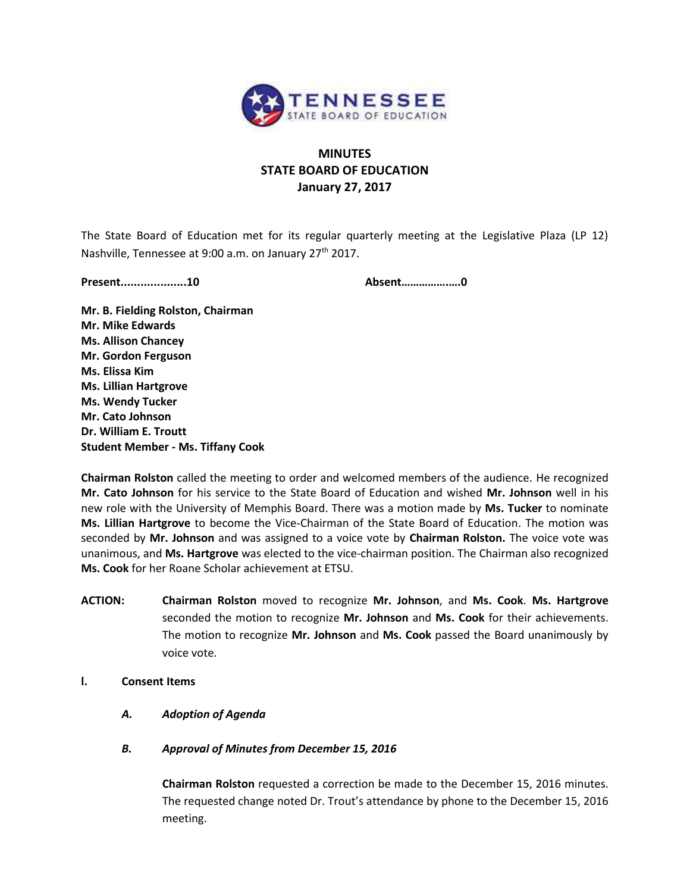

# **MINUTES STATE BOARD OF EDUCATION January 27, 2017**

The State Board of Education met for its regular quarterly meeting at the Legislative Plaza (LP 12) Nashville, Tennessee at 9:00 a.m. on January 27<sup>th</sup> 2017.

**Present....................10 Absent…………….….0**

**Mr. B. Fielding Rolston, Chairman Mr. Mike Edwards Ms. Allison Chancey Mr. Gordon Ferguson Ms. Elissa Kim Ms. Lillian Hartgrove Ms. Wendy Tucker Mr. Cato Johnson Dr. William E. Troutt Student Member - Ms. Tiffany Cook**

**Chairman Rolston** called the meeting to order and welcomed members of the audience. He recognized **Mr. Cato Johnson** for his service to the State Board of Education and wished **Mr. Johnson** well in his new role with the University of Memphis Board. There was a motion made by **Ms. Tucker** to nominate **Ms. Lillian Hartgrove** to become the Vice-Chairman of the State Board of Education. The motion was seconded by **Mr. Johnson** and was assigned to a voice vote by **Chairman Rolston.** The voice vote was unanimous, and **Ms. Hartgrove** was elected to the vice-chairman position. The Chairman also recognized **Ms. Cook** for her Roane Scholar achievement at ETSU.

- **ACTION: Chairman Rolston** moved to recognize **Mr. Johnson**, and **Ms. Cook**. **Ms. Hartgrove** seconded the motion to recognize **Mr. Johnson** and **Ms. Cook** for their achievements. The motion to recognize **Mr. Johnson** and **Ms. Cook** passed the Board unanimously by voice vote.
- **l. Consent Items** 
	- *A. Adoption of Agenda*
	- *B. Approval of Minutes from December 15, 2016*

**Chairman Rolston** requested a correction be made to the December 15, 2016 minutes. The requested change noted Dr. Trout's attendance by phone to the December 15, 2016 meeting.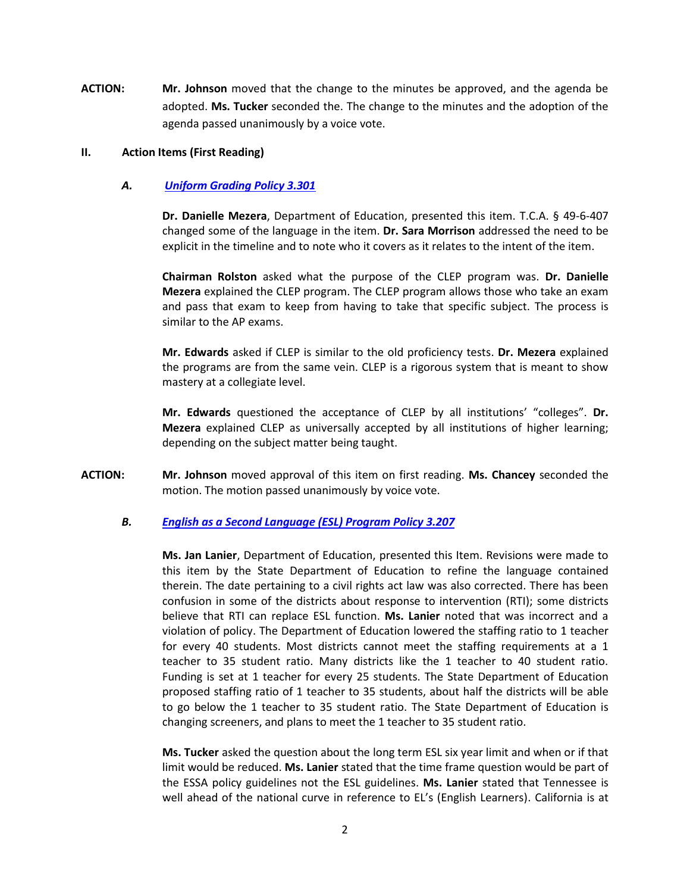**ACTION: Mr. Johnson** moved that the change to the minutes be approved, and the agenda be adopted. **Ms. Tucker** seconded the. The change to the minutes and the adoption of the agenda passed unanimously by a voice vote.

# **II. Action Items (First Reading)**

### *A. [Uniform Grading Policy 3.301](http://tn.gov/assets/entities/sbe/attachments/1-27-17_II_A_Uniform_Grading_Policy_3_301_Cover_Sheet.pdf)*

**Dr. Danielle Mezera**, Department of Education, presented this item. T.C.A. § 49-6-407 changed some of the language in the item. **Dr. Sara Morrison** addressed the need to be explicit in the timeline and to note who it covers as it relates to the intent of the item.

**Chairman Rolston** asked what the purpose of the CLEP program was. **Dr. Danielle Mezera** explained the CLEP program. The CLEP program allows those who take an exam and pass that exam to keep from having to take that specific subject. The process is similar to the AP exams.

**Mr. Edwards** asked if CLEP is similar to the old proficiency tests. **Dr. Mezera** explained the programs are from the same vein. CLEP is a rigorous system that is meant to show mastery at a collegiate level.

**Mr. Edwards** questioned the acceptance of CLEP by all institutions' "colleges". **Dr. Mezera** explained CLEP as universally accepted by all institutions of higher learning; depending on the subject matter being taught.

**ACTION: Mr. Johnson** moved approval of this item on first reading. **Ms. Chancey** seconded the motion. The motion passed unanimously by voice vote.

#### *B. [English as a Second Language \(ESL\) Program Policy 3.207](http://tn.gov/assets/entities/sbe/attachments/1-27-17_II_B_ESL_Program_Policy_3_207_Cover_Sheet.pdf)*

**Ms. Jan Lanier**, Department of Education, presented this Item. Revisions were made to this item by the State Department of Education to refine the language contained therein. The date pertaining to a civil rights act law was also corrected. There has been confusion in some of the districts about response to intervention (RTI); some districts believe that RTI can replace ESL function. **Ms. Lanier** noted that was incorrect and a violation of policy. The Department of Education lowered the staffing ratio to 1 teacher for every 40 students. Most districts cannot meet the staffing requirements at a 1 teacher to 35 student ratio. Many districts like the 1 teacher to 40 student ratio. Funding is set at 1 teacher for every 25 students. The State Department of Education proposed staffing ratio of 1 teacher to 35 students, about half the districts will be able to go below the 1 teacher to 35 student ratio. The State Department of Education is changing screeners, and plans to meet the 1 teacher to 35 student ratio.

**Ms. Tucker** asked the question about the long term ESL six year limit and when or if that limit would be reduced. **Ms. Lanier** stated that the time frame question would be part of the ESSA policy guidelines not the ESL guidelines. **Ms. Lanier** stated that Tennessee is well ahead of the national curve in reference to EL's (English Learners). California is at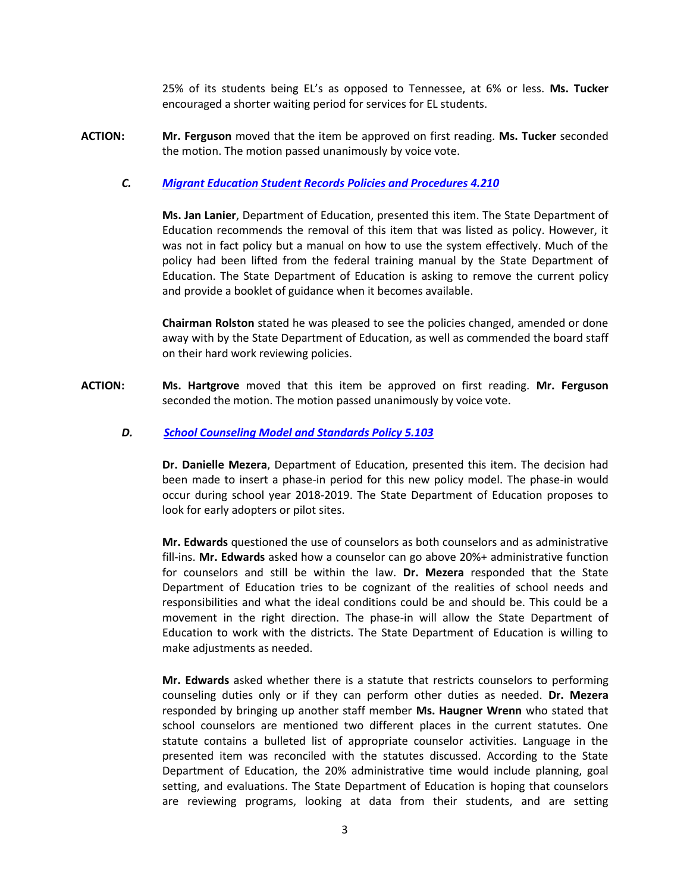25% of its students being EL's as opposed to Tennessee, at 6% or less. **Ms. Tucker** encouraged a shorter waiting period for services for EL students.

**ACTION: Mr. Ferguson** moved that the item be approved on first reading. **Ms. Tucker** seconded the motion. The motion passed unanimously by voice vote.

# *C.**[Migrant Education Student Records Policies and Procedures 4.210](http://tn.gov/assets/entities/sbe/attachments/1-27-17_II_C_Migrant_Education_Student_Records_Policy_4_210_Cover_Sheet.pdf)*

**Ms. Jan Lanier**, Department of Education, presented this item. The State Department of Education recommends the removal of this item that was listed as policy. However, it was not in fact policy but a manual on how to use the system effectively. Much of the policy had been lifted from the federal training manual by the State Department of Education. The State Department of Education is asking to remove the current policy and provide a booklet of guidance when it becomes available.

**Chairman Rolston** stated he was pleased to see the policies changed, amended or done away with by the State Department of Education, as well as commended the board staff on their hard work reviewing policies.

**ACTION: Ms. Hartgrove** moved that this item be approved on first reading. **Mr. Ferguson** seconded the motion. The motion passed unanimously by voice vote.

### *D.**[School Counseling Model and Standards Policy 5.103](http://www.tn.gov/assets/entities/sbe/attachments/1-27-17_II_D_School_Counseling_Policy_5_103_Cover_Sheet.pdf)*

**Dr. Danielle Mezera**, Department of Education, presented this item. The decision had been made to insert a phase-in period for this new policy model. The phase-in would occur during school year 2018-2019. The State Department of Education proposes to look for early adopters or pilot sites.

**Mr. Edwards** questioned the use of counselors as both counselors and as administrative fill-ins. **Mr. Edwards** asked how a counselor can go above 20%+ administrative function for counselors and still be within the law. **Dr. Mezera** responded that the State Department of Education tries to be cognizant of the realities of school needs and responsibilities and what the ideal conditions could be and should be. This could be a movement in the right direction. The phase-in will allow the State Department of Education to work with the districts. The State Department of Education is willing to make adjustments as needed.

**Mr. Edwards** asked whether there is a statute that restricts counselors to performing counseling duties only or if they can perform other duties as needed. **Dr. Mezera** responded by bringing up another staff member **Ms. Haugner Wrenn** who stated that school counselors are mentioned two different places in the current statutes. One statute contains a bulleted list of appropriate counselor activities. Language in the presented item was reconciled with the statutes discussed. According to the State Department of Education, the 20% administrative time would include planning, goal setting, and evaluations. The State Department of Education is hoping that counselors are reviewing programs, looking at data from their students, and are setting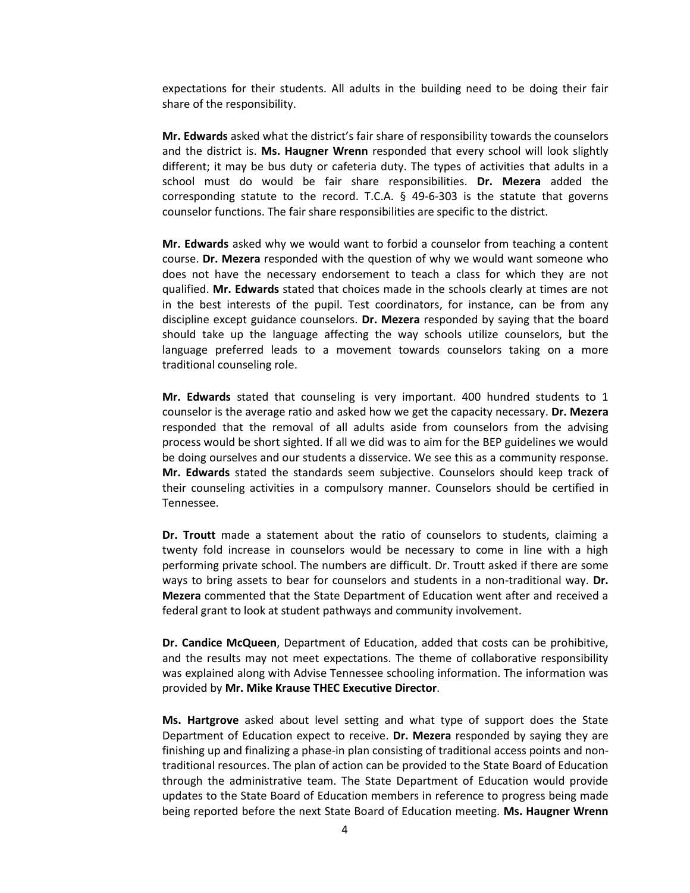expectations for their students. All adults in the building need to be doing their fair share of the responsibility.

**Mr. Edwards** asked what the district's fair share of responsibility towards the counselors and the district is. **Ms. Haugner Wrenn** responded that every school will look slightly different; it may be bus duty or cafeteria duty. The types of activities that adults in a school must do would be fair share responsibilities. **Dr. Mezera** added the corresponding statute to the record. T.C.A. § 49-6-303 is the statute that governs counselor functions. The fair share responsibilities are specific to the district.

**Mr. Edwards** asked why we would want to forbid a counselor from teaching a content course. **Dr. Mezera** responded with the question of why we would want someone who does not have the necessary endorsement to teach a class for which they are not qualified. **Mr. Edwards** stated that choices made in the schools clearly at times are not in the best interests of the pupil. Test coordinators, for instance, can be from any discipline except guidance counselors. **Dr. Mezera** responded by saying that the board should take up the language affecting the way schools utilize counselors, but the language preferred leads to a movement towards counselors taking on a more traditional counseling role.

**Mr. Edwards** stated that counseling is very important. 400 hundred students to 1 counselor is the average ratio and asked how we get the capacity necessary. **Dr. Mezera** responded that the removal of all adults aside from counselors from the advising process would be short sighted. If all we did was to aim for the BEP guidelines we would be doing ourselves and our students a disservice. We see this as a community response. **Mr. Edwards** stated the standards seem subjective. Counselors should keep track of their counseling activities in a compulsory manner. Counselors should be certified in Tennessee.

**Dr. Troutt** made a statement about the ratio of counselors to students, claiming a twenty fold increase in counselors would be necessary to come in line with a high performing private school. The numbers are difficult. Dr. Troutt asked if there are some ways to bring assets to bear for counselors and students in a non-traditional way. **Dr. Mezera** commented that the State Department of Education went after and received a federal grant to look at student pathways and community involvement.

**Dr. Candice McQueen**, Department of Education, added that costs can be prohibitive, and the results may not meet expectations. The theme of collaborative responsibility was explained along with Advise Tennessee schooling information. The information was provided by **Mr. Mike Krause THEC Executive Director**.

**Ms. Hartgrove** asked about level setting and what type of support does the State Department of Education expect to receive. **Dr. Mezera** responded by saying they are finishing up and finalizing a phase-in plan consisting of traditional access points and nontraditional resources. The plan of action can be provided to the State Board of Education through the administrative team. The State Department of Education would provide updates to the State Board of Education members in reference to progress being made being reported before the next State Board of Education meeting. **Ms. Haugner Wrenn**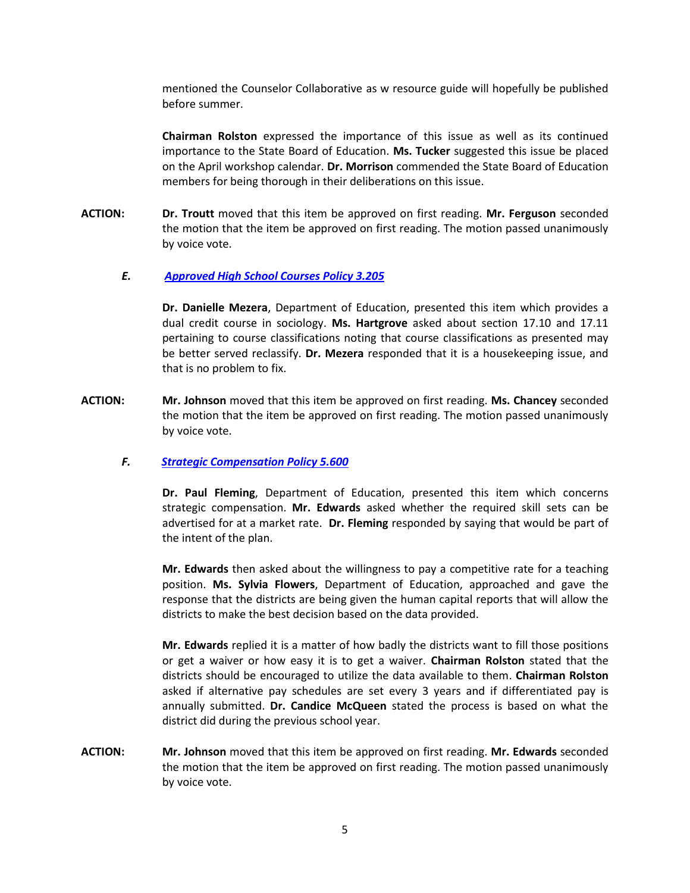mentioned the Counselor Collaborative as w resource guide will hopefully be published before summer.

**Chairman Rolston** expressed the importance of this issue as well as its continued importance to the State Board of Education. **Ms. Tucker** suggested this issue be placed on the April workshop calendar. **Dr. Morrison** commended the State Board of Education members for being thorough in their deliberations on this issue.

**ACTION: Dr. Troutt** moved that this item be approved on first reading. **Mr. Ferguson** seconded the motion that the item be approved on first reading. The motion passed unanimously by voice vote.

# *E. [Approved High School Courses Policy 3.205](http://tn.gov/assets/entities/sbe/attachments/1-27-17_II_E_Approved_High_School_Courses_Policy_3_205_Cover_Sheet.pdf)*

**Dr. Danielle Mezera**, Department of Education, presented this item which provides a dual credit course in sociology. **Ms. Hartgrove** asked about section 17.10 and 17.11 pertaining to course classifications noting that course classifications as presented may be better served reclassify. **Dr. Mezera** responded that it is a housekeeping issue, and that is no problem to fix.

**ACTION: Mr. Johnson** moved that this item be approved on first reading. **Ms. Chancey** seconded the motion that the item be approved on first reading. The motion passed unanimously by voice vote.

#### *F.**[Strategic Compensation Policy 5.600](http://tn.gov/assets/entities/sbe/attachments/1-27-17_II_F_Strategic_Compensation_Policy_5_600_Cover_Sheet.pdf)*

**Dr. Paul Fleming**, Department of Education, presented this item which concerns strategic compensation. **Mr. Edwards** asked whether the required skill sets can be advertised for at a market rate. **Dr. Fleming** responded by saying that would be part of the intent of the plan.

**Mr. Edwards** then asked about the willingness to pay a competitive rate for a teaching position. **Ms. Sylvia Flowers**, Department of Education, approached and gave the response that the districts are being given the human capital reports that will allow the districts to make the best decision based on the data provided.

**Mr. Edwards** replied it is a matter of how badly the districts want to fill those positions or get a waiver or how easy it is to get a waiver. **Chairman Rolston** stated that the districts should be encouraged to utilize the data available to them. **Chairman Rolston** asked if alternative pay schedules are set every 3 years and if differentiated pay is annually submitted. **Dr. Candice McQueen** stated the process is based on what the district did during the previous school year.

**ACTION: Mr. Johnson** moved that this item be approved on first reading. **Mr. Edwards** seconded the motion that the item be approved on first reading. The motion passed unanimously by voice vote.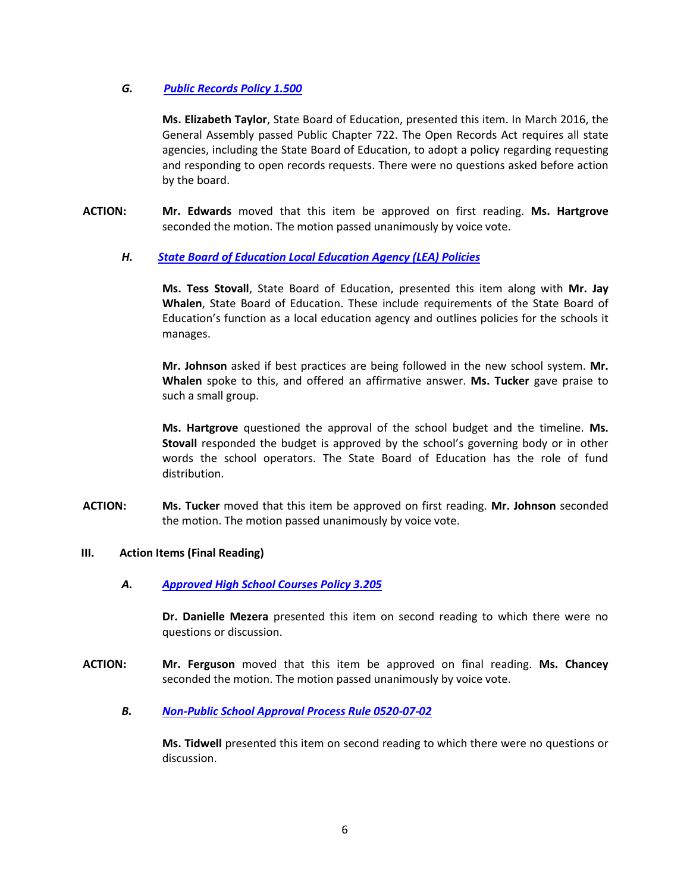# *G. [Public Records Policy 1.500](http://tn.gov/assets/entities/sbe/attachments/1-27-17_II_G_Public_Records_Policy_1_500_Cover_Sheet.pdf)*

**Ms. Elizabeth Taylor**, State Board of Education, presented this item. In March 2016, the General Assembly passed Public Chapter 722. The Open Records Act requires all state agencies, including the State Board of Education, to adopt a policy regarding requesting and responding to open records requests. There were no questions asked before action by the board.

**ACTION: Mr. Edwards** moved that this item be approved on first reading. **Ms. Hartgrove** seconded the motion. The motion passed unanimously by voice vote.

# *H.**[State Board of Education Local Education Agency \(LEA\) Policies](http://tn.gov/assets/entities/sbe/attachments/1-27-17_II_H_State_Board_LEA_Policies_Cover_Sheet.pdf)*

**Ms. Tess Stovall**, State Board of Education, presented this item along with **Mr. Jay Whalen**, State Board of Education. These include requirements of the State Board of Education's function as a local education agency and outlines policies for the schools it manages.

**Mr. Johnson** asked if best practices are being followed in the new school system. **Mr. Whalen** spoke to this, and offered an affirmative answer. **Ms. Tucker** gave praise to such a small group.

**Ms. Hartgrove** questioned the approval of the school budget and the timeline. **Ms. Stovall** responded the budget is approved by the school's governing body or in other words the school operators. The State Board of Education has the role of fund distribution.

**ACTION: Ms. Tucker** moved that this item be approved on first reading. **Mr. Johnson** seconded the motion. The motion passed unanimously by voice vote.

# **III. Action Items (Final Reading)**

*A. [Approved High School Courses Policy 3.205](http://tn.gov/assets/entities/sbe/attachments/1-27-17_III_A_Approved_High_School_Courses_Policy_3_205_Cover_Sheet.pdf)*

**Dr. Danielle Mezera** presented this item on second reading to which there were no questions or discussion.

- **ACTION: Mr. Ferguson** moved that this item be approved on final reading. **Ms. Chancey** seconded the motion. The motion passed unanimously by voice vote.
	- *B. [Non-Public School Approval Process Rule 0520-07-02](http://tn.gov/assets/entities/sbe/attachments/1-27-17_III_B_Non-Public_School_Approval_Process_Rule_0520_07_02_Cover_Sheet.pdf)*

**Ms. Tidwell** presented this item on second reading to which there were no questions or discussion.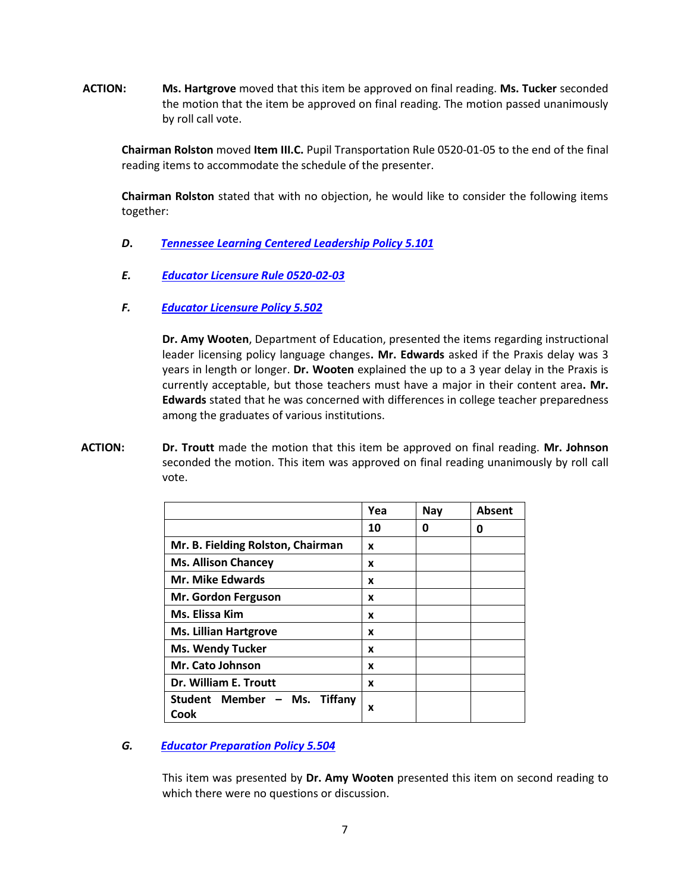**ACTION: Ms. Hartgrove** moved that this item be approved on final reading. **Ms. Tucker** seconded the motion that the item be approved on final reading. The motion passed unanimously by roll call vote.

**Chairman Rolston** moved **Item III.C.** Pupil Transportation Rule 0520-01-05 to the end of the final reading items to accommodate the schedule of the presenter.

**Chairman Rolston** stated that with no objection, he would like to consider the following items together:

- *D***.** *[Tennessee Learning Centered Leadership Policy 5.101](http://tn.gov/assets/entities/sbe/attachments/1-27-17_III_D_Tennessee_Learning_Centered_Leadership_Policy_5_101_Cover_Sheet.pdf)*
- *E. [Educator Licensure Rule 0520-02-03](http://tn.gov/assets/entities/sbe/attachments/1-27-17_III_E_Educator_Licensure_Rule_0520_02_03_Cover_Sheet.pdf)*
- *F. [Educator Licensure Policy 5.502](http://tn.gov/assets/entities/sbe/attachments/1-27-17_III_F_Educator_Licensure_Policy_5_502_Cover_Sheet.pdf)*

**Dr. Amy Wooten**, Department of Education, presented the items regarding instructional leader licensing policy language changes**. Mr. Edwards** asked if the Praxis delay was 3 years in length or longer. **Dr. Wooten** explained the up to a 3 year delay in the Praxis is currently acceptable, but those teachers must have a major in their content area**. Mr. Edwards** stated that he was concerned with differences in college teacher preparedness among the graduates of various institutions.

**ACTION: Dr. Troutt** made the motion that this item be approved on final reading. **Mr. Johnson** seconded the motion. This item was approved on final reading unanimously by roll call vote.

|                                                | Yea | Nay | <b>Absent</b> |
|------------------------------------------------|-----|-----|---------------|
|                                                | 10  | 0   | 0             |
| Mr. B. Fielding Rolston, Chairman              | x   |     |               |
| <b>Ms. Allison Chancey</b>                     | x   |     |               |
| <b>Mr. Mike Edwards</b>                        | x   |     |               |
| Mr. Gordon Ferguson                            | x   |     |               |
| Ms. Elissa Kim                                 | x   |     |               |
| <b>Ms. Lillian Hartgrove</b>                   | x   |     |               |
| <b>Ms. Wendy Tucker</b>                        | x   |     |               |
| Mr. Cato Johnson                               | X   |     |               |
| Dr. William E. Troutt                          | X   |     |               |
| Student Member - Ms.<br><b>Tiffany</b><br>Cook | x   |     |               |

# *G. [Educator Preparation Policy 5.504](http://tn.gov/assets/entities/sbe/attachments/1-27-17_III_G_Educator_Preparation_Policy_5_504_Cover_Sheet.pdf)*

This item was presented by **Dr. Amy Wooten** presented this item on second reading to which there were no questions or discussion.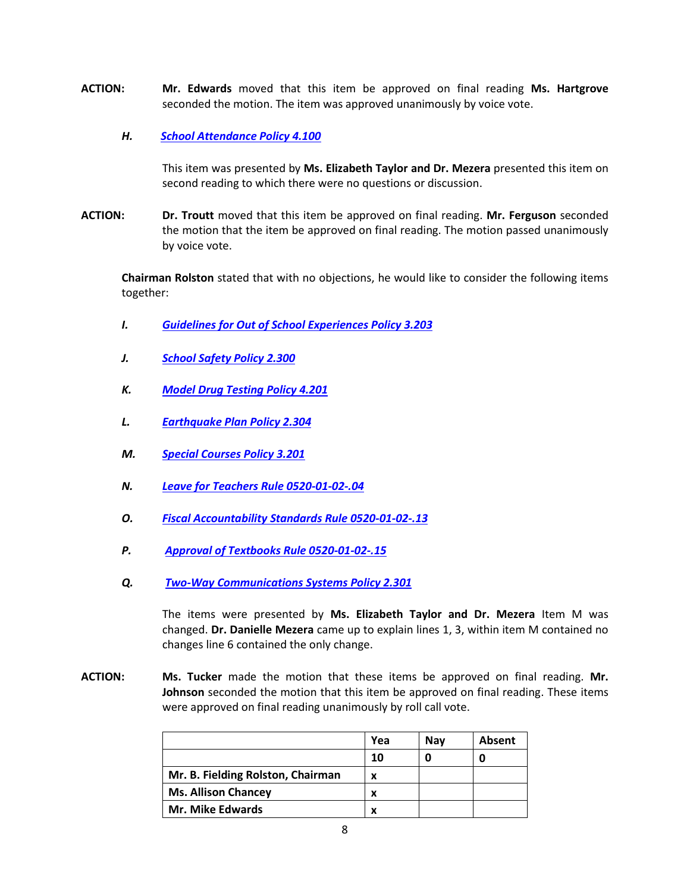- **ACTION: Mr. Edwards** moved that this item be approved on final reading **Ms. Hartgrove** seconded the motion. The item was approved unanimously by voice vote.
	- *H.**[School Attendance Policy 4.100](http://tn.gov/assets/entities/sbe/attachments/1-27-17_III_H_School_Attendance_Policy_4_100_Cover_Sheet.pdf)*

This item was presented by **Ms. Elizabeth Taylor and Dr. Mezera** presented this item on second reading to which there were no questions or discussion.

**ACTION: Dr. Troutt** moved that this item be approved on final reading. **Mr. Ferguson** seconded the motion that the item be approved on final reading. The motion passed unanimously by voice vote.

**Chairman Rolston** stated that with no objections, he would like to consider the following items together:

- *I. [Guidelines for Out of School Experiences Policy 3.203](http://tn.gov/assets/entities/sbe/attachments/1-27-17_III_I_Guidelines_for_Out_of_School_Experiences_Policy_3_203_Cover_Sheet.pdf)*
- *J. [School Safety Policy 2.300](http://www.tn.gov/assets/entities/sbe/attachments/1-27-17_III_J_School_Safety_Policy_2_300_Cover_Sheet.pdf)*
- *K. [Model Drug Testing Policy 4.201](http://www.tn.gov/assets/entities/sbe/attachments/1-27-17_III_L_Earthquake_Plan_Policy_2_304_Cover_Sheet.pdf)*
- *L. [Earthquake Plan Policy 2.304](http://tn.gov/assets/entities/sbe/attachments/1-27-17_III_L_Earthquake_Plan_Policy_2_304_Cover_Sheet.pdf)*
- *M. [Special Courses Policy 3.201](http://tn.gov/assets/entities/sbe/attachments/1-27-17_III_M_Special_Courses_Policy_3_201_Cover_Sheet.pdf)*
- *N. [Leave for Teachers Rule 0520-01-02-.04](http://tn.gov/assets/entities/sbe/attachments/1-27-17_III_N_Leave_for_Teachers_Rule_0520_01_02_04_Cover_Sheet.pdf)*
- *O. [Fiscal Accountability Standards Rule 0520-01-02-.13](http://tn.gov/assets/entities/sbe/attachments/1-27-17_III_O_Fiscal_Accountability_Standards_Rule_0520_01_02_13_Cover_Sheet.pdf)*
- *P. [Approval of Textbooks Rule 0520-01-02-.15](http://tn.gov/assets/entities/sbe/attachments/1-27-17_III_P_Approval_of_Textbooks_Rule_0520_01_02_15_Cover_Sheet.pdf)*
- *Q. [Two-Way Communications Systems Policy 2.301](http://tn.gov/assets/entities/sbe/attachments/1-27-17_III_Q_Two_Way_Communications_Systems_Policy_2_301_Cover_Sheet.pdf)*

The items were presented by **Ms. Elizabeth Taylor and Dr. Mezera** Item M was changed. **Dr. Danielle Mezera** came up to explain lines 1, 3, within item M contained no changes line 6 contained the only change.

**ACTION: Ms. Tucker** made the motion that these items be approved on final reading. **Mr. Johnson** seconded the motion that this item be approved on final reading. These items were approved on final reading unanimously by roll call vote.

|                                   | Yea | Nav | Absent |
|-----------------------------------|-----|-----|--------|
|                                   | 10  |     |        |
| Mr. B. Fielding Rolston, Chairman | x   |     |        |
| <b>Ms. Allison Chancey</b>        | x   |     |        |
| <b>Mr. Mike Edwards</b>           |     |     |        |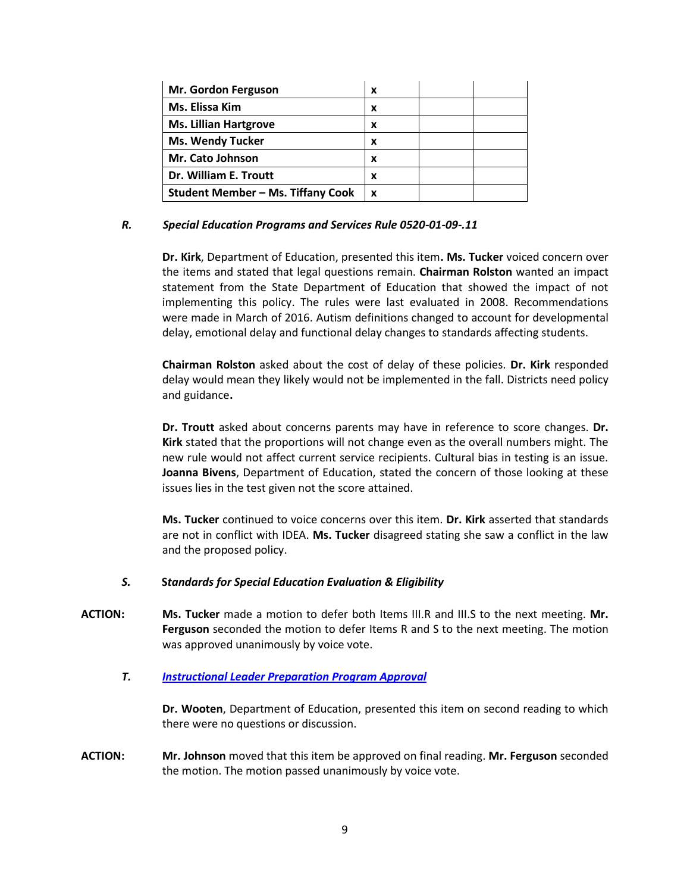| Mr. Gordon Ferguson               | x |  |
|-----------------------------------|---|--|
| Ms. Elissa Kim                    | x |  |
| <b>Ms. Lillian Hartgrove</b>      | x |  |
| <b>Ms. Wendy Tucker</b>           | x |  |
| <b>Mr. Cato Johnson</b>           | x |  |
| Dr. William E. Troutt             | x |  |
| Student Member – Ms. Tiffany Cook | x |  |

### *R.**Special Education Programs and Services Rule 0520-01-09-.11*

**Dr. Kirk**, Department of Education, presented this item**. Ms. Tucker** voiced concern over the items and stated that legal questions remain. **Chairman Rolston** wanted an impact statement from the State Department of Education that showed the impact of not implementing this policy. The rules were last evaluated in 2008. Recommendations were made in March of 2016. Autism definitions changed to account for developmental delay, emotional delay and functional delay changes to standards affecting students.

**Chairman Rolston** asked about the cost of delay of these policies. **Dr. Kirk** responded delay would mean they likely would not be implemented in the fall. Districts need policy and guidance**.** 

**Dr. Troutt** asked about concerns parents may have in reference to score changes. **Dr. Kirk** stated that the proportions will not change even as the overall numbers might. The new rule would not affect current service recipients. Cultural bias in testing is an issue. **Joanna Bivens**, Department of Education, stated the concern of those looking at these issues lies in the test given not the score attained.

**Ms. Tucker** continued to voice concerns over this item. **Dr. Kirk** asserted that standards are not in conflict with IDEA. **Ms. Tucker** disagreed stating she saw a conflict in the law and the proposed policy.

#### *S.* **S***tandards for Special Education Evaluation & Eligibility*

**ACTION: Ms. Tucker** made a motion to defer both Items III.R and III.S to the next meeting. **Mr. Ferguson** seconded the motion to defer Items R and S to the next meeting. The motion was approved unanimously by voice vote.

#### *T.**[Instructional Leader Preparation Program Approval](http://tn.gov/assets/entities/sbe/attachments/1-27-17_III_T_Instructional_Leader_Preparation_Program_Approval_Cover_Sheet.pdf)*

**Dr. Wooten**, Department of Education, presented this item on second reading to which there were no questions or discussion.

**ACTION: Mr. Johnson** moved that this item be approved on final reading. **Mr. Ferguson** seconded the motion. The motion passed unanimously by voice vote.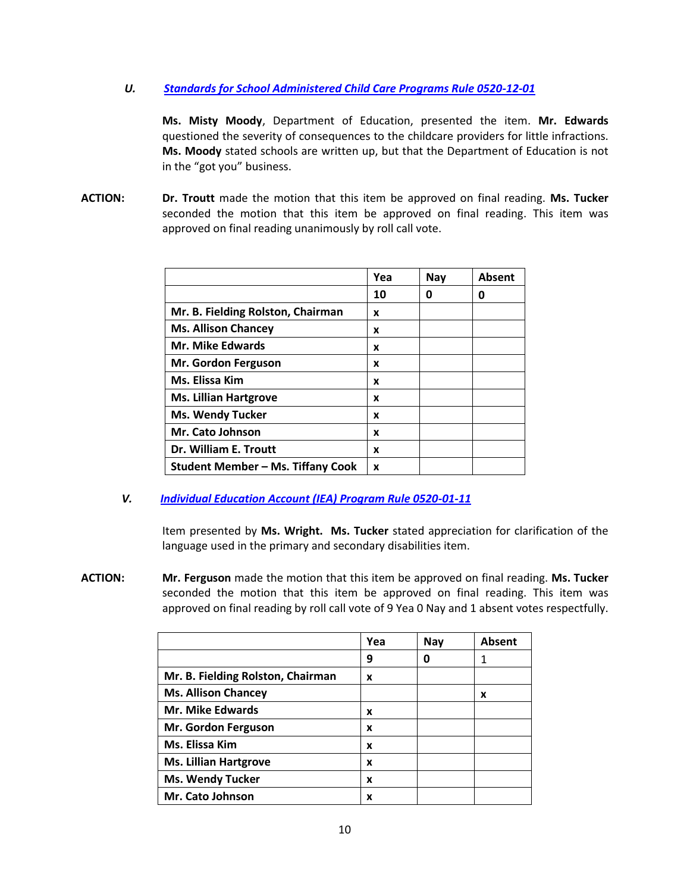# *U.**[Standards for School Administered Child Care Programs Rule 0520-12-01](http://tn.gov/assets/entities/sbe/attachments/1-27-17_III_U_Standards_for_School_Administered_Child_Care_Programs_Rule_0520_12_01_Cover_Sheet.pdf)*

**Ms. Misty Moody**, Department of Education, presented the item. **Mr. Edwards**  questioned the severity of consequences to the childcare providers for little infractions. **Ms. Moody** stated schools are written up, but that the Department of Education is not in the "got you" business.

**ACTION: Dr. Troutt** made the motion that this item be approved on final reading. **Ms. Tucker** seconded the motion that this item be approved on final reading. This item was approved on final reading unanimously by roll call vote.

|                                          | Yea | <b>Nay</b> | Absent |
|------------------------------------------|-----|------------|--------|
|                                          | 10  | 0          | O      |
| Mr. B. Fielding Rolston, Chairman        | x   |            |        |
| <b>Ms. Allison Chancey</b>               | x   |            |        |
| <b>Mr. Mike Edwards</b>                  | x   |            |        |
| Mr. Gordon Ferguson                      | x   |            |        |
| Ms. Elissa Kim                           | X   |            |        |
| <b>Ms. Lillian Hartgrove</b>             | X   |            |        |
| <b>Ms. Wendy Tucker</b>                  | X   |            |        |
| Mr. Cato Johnson                         | X   |            |        |
| Dr. William E. Troutt                    | X   |            |        |
| <b>Student Member - Ms. Tiffany Cook</b> | x   |            |        |

*V. [Individual Education Account \(IEA\) Program Rule 0520-01-11](http://tn.gov/assets/entities/sbe/attachments/1-27-17_III_V_IEA_Rule_0520_01_11_Cover_Sheet.pdf)*

Item presented by **Ms. Wright. Ms. Tucker** stated appreciation for clarification of the language used in the primary and secondary disabilities item.

**ACTION: Mr. Ferguson** made the motion that this item be approved on final reading. **Ms. Tucker**  seconded the motion that this item be approved on final reading. This item was approved on final reading by roll call vote of 9 Yea 0 Nay and 1 absent votes respectfully.

|                                   | Yea | Nay | <b>Absent</b> |
|-----------------------------------|-----|-----|---------------|
|                                   | 9   | 0   |               |
| Mr. B. Fielding Rolston, Chairman | x   |     |               |
| <b>Ms. Allison Chancey</b>        |     |     | x             |
| <b>Mr. Mike Edwards</b>           | x   |     |               |
| Mr. Gordon Ferguson               | x   |     |               |
| Ms. Elissa Kim                    | x   |     |               |
| <b>Ms. Lillian Hartgrove</b>      | x   |     |               |
| <b>Ms. Wendy Tucker</b>           | x   |     |               |
| Mr. Cato Johnson                  | x   |     |               |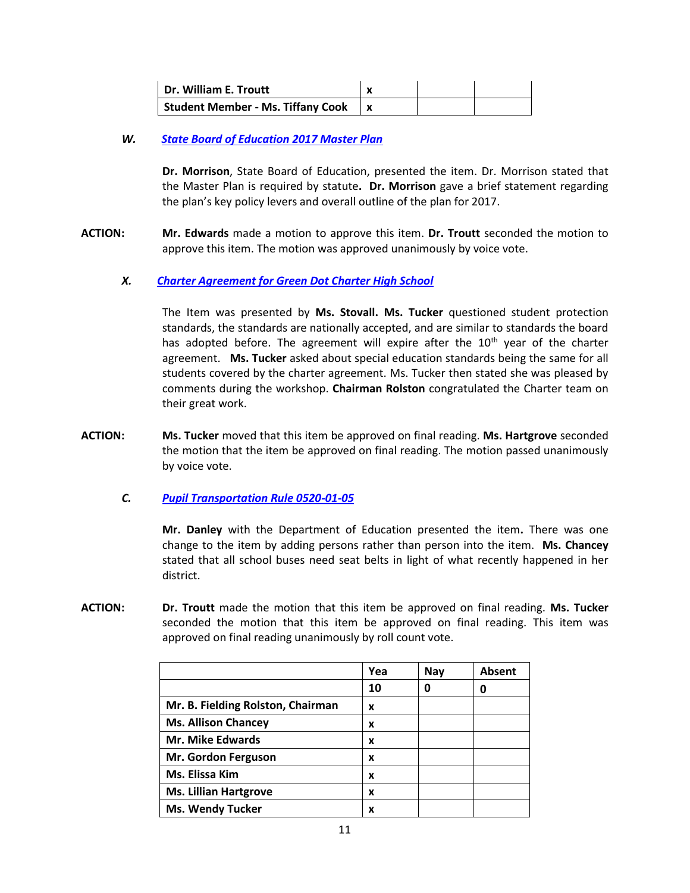| Dr. William E. Troutt             |  |  |
|-----------------------------------|--|--|
| Student Member - Ms. Tiffany Cook |  |  |

# *W.**[State Board of Education 2017 Master Plan](http://tn.gov/assets/entities/sbe/attachments/1-27-17_III_W_SBE_2017_Master_Plan_Cover_Sheet.pdf)*

**Dr. Morrison**, State Board of Education, presented the item. Dr. Morrison stated that the Master Plan is required by statute**. Dr. Morrison** gave a brief statement regarding the plan's key policy levers and overall outline of the plan for 2017.

**ACTION: Mr. Edwards** made a motion to approve this item. **Dr. Troutt** seconded the motion to approve this item. The motion was approved unanimously by voice vote.

# *X.**[Charter Agreement for Green Dot Charter High School](http://tn.gov/assets/entities/sbe/attachments/1-27-17_III_X_Charter_Agreement_for_Green_Dot_Charter_High_School_Cover_Sheet.pdf)*

The Item was presented by **Ms. Stovall. Ms. Tucker** questioned student protection standards, the standards are nationally accepted, and are similar to standards the board has adopted before. The agreement will expire after the  $10<sup>th</sup>$  year of the charter agreement. **Ms. Tucker** asked about special education standards being the same for all students covered by the charter agreement. Ms. Tucker then stated she was pleased by comments during the workshop. **Chairman Rolston** congratulated the Charter team on their great work.

**ACTION: Ms. Tucker** moved that this item be approved on final reading. **Ms. Hartgrove** seconded the motion that the item be approved on final reading. The motion passed unanimously by voice vote.

# *C. [Pupil Transportation Rule 0520-01-05](http://tn.gov/assets/entities/sbe/attachments/1-27-17_III_C_Pupil_Transportation_Rule_0520_01_05_Cover_Sheet.pdf)*

**Mr. Danley** with the Department of Education presented the item**.** There was one change to the item by adding persons rather than person into the item. **Ms. Chancey**  stated that all school buses need seat belts in light of what recently happened in her district.

**ACTION: Dr. Troutt** made the motion that this item be approved on final reading. **Ms. Tucker** seconded the motion that this item be approved on final reading. This item was approved on final reading unanimously by roll count vote.

|                                   | Yea | Nay | Absent |
|-----------------------------------|-----|-----|--------|
|                                   | 10  | 0   |        |
| Mr. B. Fielding Rolston, Chairman | x   |     |        |
| <b>Ms. Allison Chancey</b>        | x   |     |        |
| <b>Mr. Mike Edwards</b>           | x   |     |        |
| Mr. Gordon Ferguson               | x   |     |        |
| Ms. Elissa Kim                    | x   |     |        |
| <b>Ms. Lillian Hartgrove</b>      | x   |     |        |
| <b>Ms. Wendy Tucker</b>           | x   |     |        |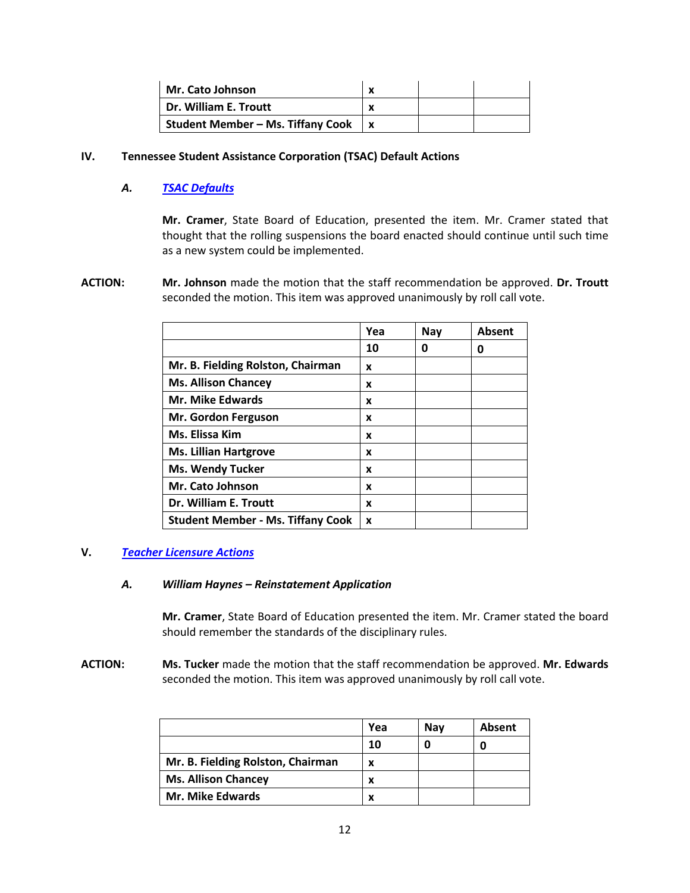| Mr. Cato Johnson                         |  |  |
|------------------------------------------|--|--|
| Dr. William E. Troutt                    |  |  |
| <b>Student Member - Ms. Tiffany Cook</b> |  |  |

### **IV. Tennessee Student Assistance Corporation (TSAC) Default Actions**

# *A. [TSAC Defaults](http://www.tn.gov/assets/entities/sbe/attachments/1-27-17_IV_A_TSAC_Defaults.pdf)*

**Mr. Cramer**, State Board of Education, presented the item. Mr. Cramer stated that thought that the rolling suspensions the board enacted should continue until such time as a new system could be implemented.

**ACTION: Mr. Johnson** made the motion that the staff recommendation be approved. **Dr. Troutt** seconded the motion. This item was approved unanimously by roll call vote.

|                                          | Yea | Nay | <b>Absent</b> |
|------------------------------------------|-----|-----|---------------|
|                                          | 10  | 0   | O             |
| Mr. B. Fielding Rolston, Chairman        | x   |     |               |
| <b>Ms. Allison Chancey</b>               | x   |     |               |
| <b>Mr. Mike Edwards</b>                  | x   |     |               |
| Mr. Gordon Ferguson                      | x   |     |               |
| Ms. Elissa Kim                           | x   |     |               |
| <b>Ms. Lillian Hartgrove</b>             | x   |     |               |
| <b>Ms. Wendy Tucker</b>                  | x   |     |               |
| Mr. Cato Johnson                         | x   |     |               |
| Dr. William E. Troutt                    | x   |     |               |
| <b>Student Member - Ms. Tiffany Cook</b> | X   |     |               |

# **V.** *[Teacher Licensure](http://www.tn.gov/assets/entities/sbe/attachments/1-27-17_V_A-B_Teacher_License_Actions_Cover_Sheet.pdf) Actions*

#### *A. William Haynes – Reinstatement Application*

**Mr. Cramer**, State Board of Education presented the item. Mr. Cramer stated the board should remember the standards of the disciplinary rules.

**ACTION: Ms. Tucker** made the motion that the staff recommendation be approved. **Mr. Edwards** seconded the motion. This item was approved unanimously by roll call vote.

|                                   | Yea | Nav | Absent |
|-----------------------------------|-----|-----|--------|
|                                   | 10  |     |        |
| Mr. B. Fielding Rolston, Chairman | X   |     |        |
| <b>Ms. Allison Chancey</b>        | x   |     |        |
| <b>Mr. Mike Edwards</b>           | x   |     |        |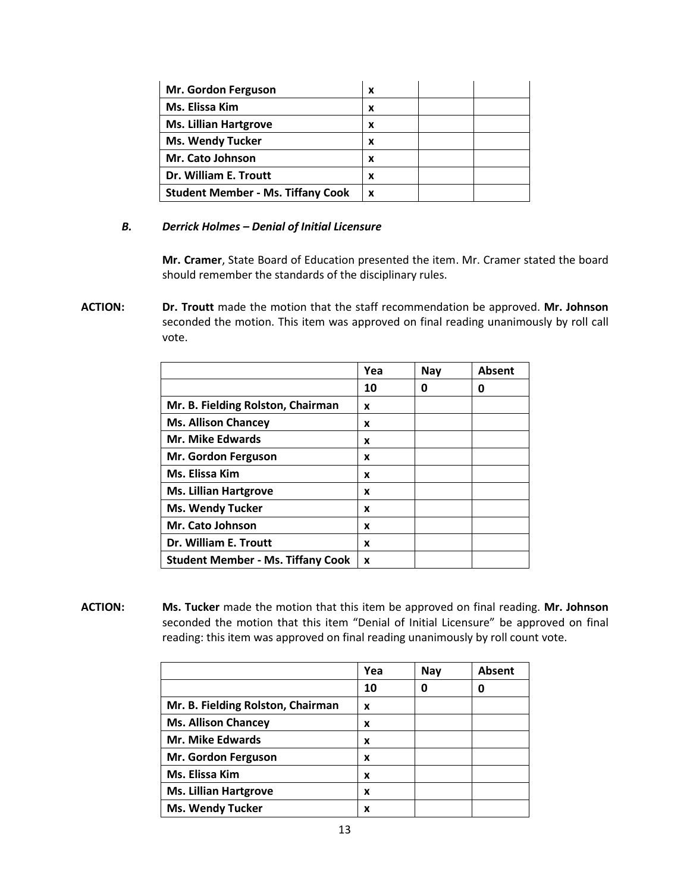| Mr. Gordon Ferguson                      | x |
|------------------------------------------|---|
| Ms. Elissa Kim                           | x |
| <b>Ms. Lillian Hartgrove</b>             | x |
| <b>Ms. Wendy Tucker</b>                  | x |
| Mr. Cato Johnson                         | x |
| Dr. William E. Troutt                    | x |
| <b>Student Member - Ms. Tiffany Cook</b> | X |

# *B. Derrick Holmes – Denial of Initial Licensure*

**Mr. Cramer**, State Board of Education presented the item. Mr. Cramer stated the board should remember the standards of the disciplinary rules.

**ACTION: Dr. Troutt** made the motion that the staff recommendation be approved. **Mr. Johnson** seconded the motion. This item was approved on final reading unanimously by roll call vote.

|                                          | Yea | <b>Nay</b> | Absent |
|------------------------------------------|-----|------------|--------|
|                                          | 10  | 0          | O      |
| Mr. B. Fielding Rolston, Chairman        | X   |            |        |
| <b>Ms. Allison Chancey</b>               | x   |            |        |
| <b>Mr. Mike Edwards</b>                  | x   |            |        |
| Mr. Gordon Ferguson                      | X   |            |        |
| Ms. Elissa Kim                           | x   |            |        |
| <b>Ms. Lillian Hartgrove</b>             | X   |            |        |
| <b>Ms. Wendy Tucker</b>                  | X   |            |        |
| Mr. Cato Johnson                         | X   |            |        |
| Dr. William E. Troutt                    | X   |            |        |
| <b>Student Member - Ms. Tiffany Cook</b> | X   |            |        |

**ACTION: Ms. Tucker** made the motion that this item be approved on final reading. **Mr. Johnson** seconded the motion that this item "Denial of Initial Licensure" be approved on final reading: this item was approved on final reading unanimously by roll count vote.

|                                   | Yea | <b>Nay</b> | <b>Absent</b> |
|-----------------------------------|-----|------------|---------------|
|                                   | 10  | Ω          |               |
| Mr. B. Fielding Rolston, Chairman | x   |            |               |
| <b>Ms. Allison Chancey</b>        | x   |            |               |
| <b>Mr. Mike Edwards</b>           | x   |            |               |
| Mr. Gordon Ferguson               | x   |            |               |
| Ms. Elissa Kim                    | x   |            |               |
| <b>Ms. Lillian Hartgrove</b>      | x   |            |               |
| <b>Ms. Wendy Tucker</b>           | x   |            |               |